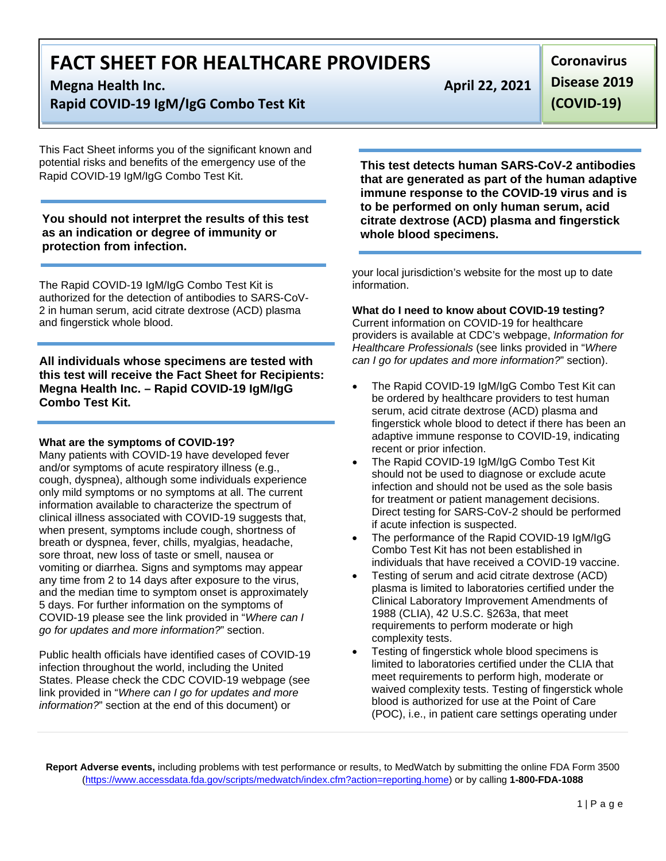**Megna Health Inc. April 22, 2021** 

**Rapid COVID-19 IgM/IgG Combo Test Kit** 

This Fact Sheet informs you of the significant known and potential risks and benefits of the emergency use of the Rapid COVID-19 IgM/IgG Combo Test Kit.

**You should not interpret the results of this test as an indication or degree of immunity or protection from infection.**

The Rapid COVID-19 IgM/IgG Combo Test Kit is authorized for the detection of antibodies to SARS-CoV-2 in human serum, acid citrate dextrose (ACD) plasma and fingerstick whole blood.

**All individuals whose specimens are tested with this test will receive the Fact Sheet for Recipients: Megna Health Inc. – Rapid COVID-19 IgM/IgG Combo Test Kit.** 

#### **What are the symptoms of COVID-19?**

Many patients with COVID-19 have developed fever and/or symptoms of acute respiratory illness (e.g., cough, dyspnea), although some individuals experience only mild symptoms or no symptoms at all. The current information available to characterize the spectrum of clinical illness associated with COVID-19 suggests that, when present, symptoms include cough, shortness of breath or dyspnea, fever, chills, myalgias, headache, sore throat, new loss of taste or smell, nausea or vomiting or diarrhea. Signs and symptoms may appear any time from 2 to 14 days after exposure to the virus, and the median time to symptom onset is approximately 5 days. For further information on the symptoms of COVID-19 please see the link provided in "*Where can I go for updates and more information?*" section.

Public health officials have identified cases of COVID-19 infection throughout the world, including the United States. Please check the CDC COVID-19 webpage (see link provided in "*Where can I go for updates and more information?*" section at the end of this document) or

**Coronavirus Disease 2019 (COVID-19)**

**This test detects human SARS-CoV-2 antibodies that are generated as part of the human adaptive immune response to the COVID-19 virus and is to be performed on only human serum, acid citrate dextrose (ACD) plasma and fingerstick whole blood specimens.**

your local jurisdiction's website for the most up to date information.

#### **What do I need to know about COVID-19 testing?**

Current information on COVID-19 for healthcare providers is available at CDC's webpage, *Information for Healthcare Professionals* (see links provided in "*Where can I go for updates and more information?*" section).

- The Rapid COVID-19 IgM/IgG Combo Test Kit can be ordered by healthcare providers to test human serum, acid citrate dextrose (ACD) plasma and fingerstick whole blood to detect if there has been an adaptive immune response to COVID-19, indicating recent or prior infection.
- The Rapid COVID-19 IgM/IgG Combo Test Kit should not be used to diagnose or exclude acute infection and should not be used as the sole basis for treatment or patient management decisions. Direct testing for SARS-CoV-2 should be performed if acute infection is suspected.
- The performance of the Rapid COVID-19 IgM/IgG Combo Test Kit has not been established in individuals that have received a COVID-19 vaccine.
- Testing of serum and acid citrate dextrose (ACD) plasma is limited to laboratories certified under the Clinical Laboratory Improvement Amendments of 1988 (CLIA), 42 U.S.C. §263a, that meet requirements to perform moderate or high complexity tests.
- Testing of fingerstick whole blood specimens is limited to laboratories certified under the CLIA that meet requirements to perform high, moderate or waived complexity tests. Testing of fingerstick whole blood is authorized for use at the Point of Care (POC), i.e., in patient care settings operating under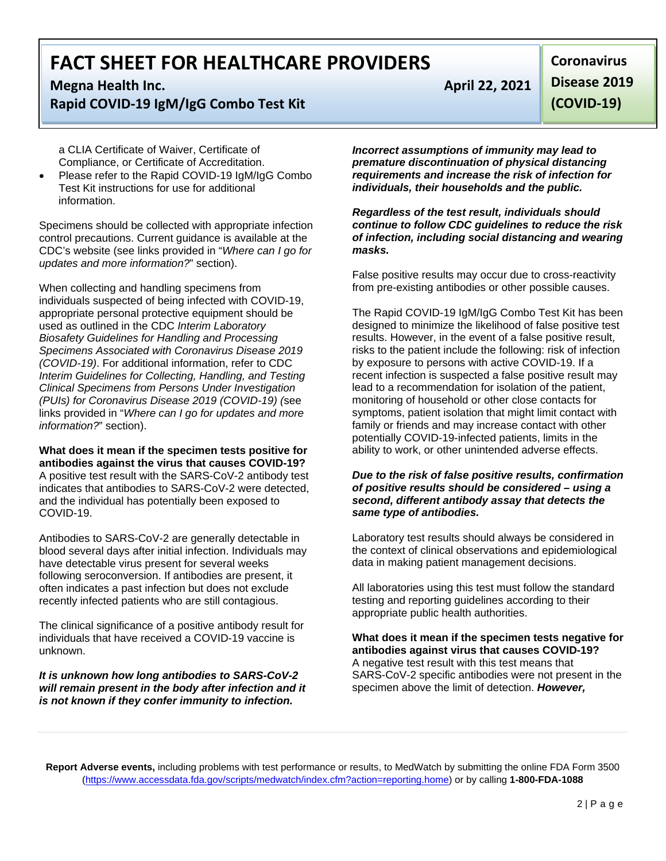### **Megna Health Inc. April 22, 2021 Rapid COVID-19 IgM/IgG Combo Test Kit**

a CLIA Certificate of Waiver, Certificate of Compliance, or Certificate of Accreditation.

Please refer to the Rapid COVID-19 IgM/IgG Combo Test Kit instructions for use for additional information.

Specimens should be collected with appropriate infection control precautions. Current guidance is available at the CDC's website (see links provided in "*Where can I go for updates and more information?*" section).

When collecting and handling specimens from individuals suspected of being infected with COVID-19, appropriate personal protective equipment should be used as outlined in the CDC *Interim Laboratory Biosafety Guidelines for Handling and Processing Specimens Associated with Coronavirus Disease 2019 (COVID-19)*. For additional information, refer to CDC *Interim Guidelines for Collecting, Handling, and Testing Clinical Specimens from Persons Under Investigation (PUIs) for Coronavirus Disease 2019 (COVID-19) (*see links provided in "*Where can I go for updates and more information?*" section).

**What does it mean if the specimen tests positive for antibodies against the virus that causes COVID-19?** A positive test result with the SARS-CoV-2 antibody test indicates that antibodies to SARS-CoV-2 were detected, and the individual has potentially been exposed to COVID-19.

Antibodies to SARS-CoV-2 are generally detectable in blood several days after initial infection. Individuals may have detectable virus present for several weeks following seroconversion. If antibodies are present, it often indicates a past infection but does not exclude recently infected patients who are still contagious.

The clinical significance of a positive antibody result for individuals that have received a COVID-19 vaccine is unknown.

*It is unknown how long antibodies to SARS-CoV-2 will remain present in the body after infection and it is not known if they confer immunity to infection.*

**Coronavirus Disease 2019 (COVID-19)**

*Incorrect assumptions of immunity may lead to premature discontinuation of physical distancing requirements and increase the risk of infection for individuals, their households and the public.* 

*Regardless of the test result, individuals should continue to follow CDC guidelines to reduce the risk of infection, including social distancing and wearing masks.*

False positive results may occur due to cross-reactivity from pre-existing antibodies or other possible causes.

The Rapid COVID-19 IgM/IgG Combo Test Kit has been designed to minimize the likelihood of false positive test results. However, in the event of a false positive result, risks to the patient include the following: risk of infection by exposure to persons with active COVID-19. If a recent infection is suspected a false positive result may lead to a recommendation for isolation of the patient, monitoring of household or other close contacts for symptoms, patient isolation that might limit contact with family or friends and may increase contact with other potentially COVID-19-infected patients, limits in the ability to work, or other unintended adverse effects.

#### *Due to the risk of false positive results, confirmation of positive results should be considered – using a second, different antibody assay that detects the same type of antibodies.*

Laboratory test results should always be considered in the context of clinical observations and epidemiological data in making patient management decisions.

All laboratories using this test must follow the standard testing and reporting guidelines according to their appropriate public health authorities.

**What does it mean if the specimen tests negative for antibodies against virus that causes COVID-19?** A negative test result with this test means that SARS-CoV-2 specific antibodies were not present in the specimen above the limit of detection. *However,*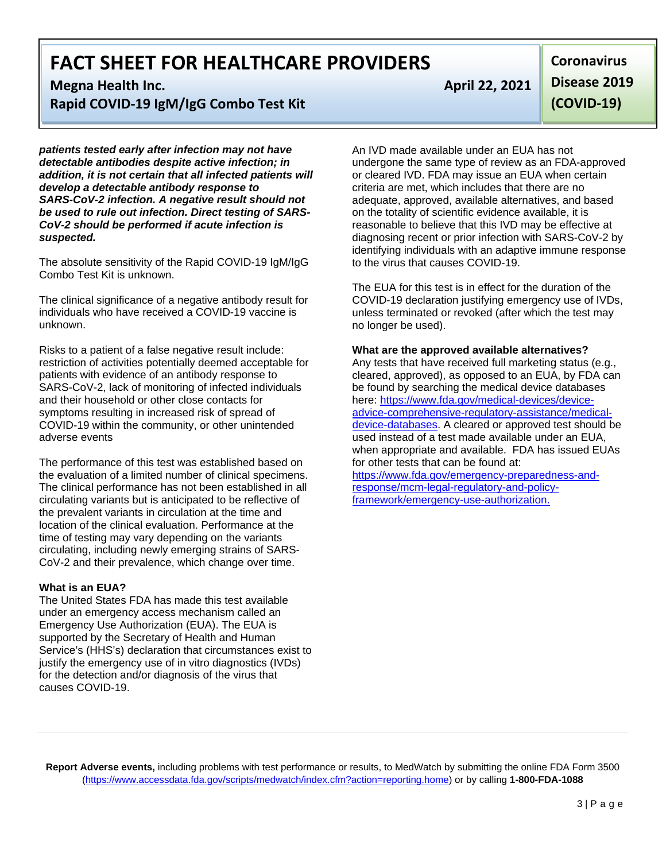**Megna Health Inc. April 22, 2021** 

**Rapid COVID-19 IgM/IgG Combo Test Kit** 

*patients tested early after infection may not have detectable antibodies despite active infection; in addition, it is not certain that all infected patients will develop a detectable antibody response to SARS-CoV-2 infection. A negative result should not be used to rule out infection. Direct testing of SARS-CoV-2 should be performed if acute infection is suspected.*

The absolute sensitivity of the Rapid COVID-19 IgM/IgG Combo Test Kit is unknown.

The clinical significance of a negative antibody result for individuals who have received a COVID-19 vaccine is unknown.

Risks to a patient of a false negative result include: restriction of activities potentially deemed acceptable for patients with evidence of an antibody response to SARS-CoV-2, lack of monitoring of infected individuals and their household or other close contacts for symptoms resulting in increased risk of spread of COVID-19 within the community, or other unintended adverse events

The performance of this test was established based on the evaluation of a limited number of clinical specimens. The clinical performance has not been established in all circulating variants but is anticipated to be reflective of the prevalent variants in circulation at the time and location of the clinical evaluation. Performance at the time of testing may vary depending on the variants circulating, including newly emerging strains of SARS-CoV-2 and their prevalence, which change over time.

#### **What is an EUA?**

The United States FDA has made this test available under an emergency access mechanism called an Emergency Use Authorization (EUA). The EUA is supported by the Secretary of Health and Human Service's (HHS's) declaration that circumstances exist to justify the emergency use of in vitro diagnostics (IVDs) for the detection and/or diagnosis of the virus that causes COVID-19.

**Coronavirus Disease 2019 (COVID-19)**

An IVD made available under an EUA has not undergone the same type of review as an FDA-approved or cleared IVD. FDA may issue an EUA when certain criteria are met, which includes that there are no adequate, approved, available alternatives, and based on the totality of scientific evidence available, it is reasonable to believe that this IVD may be effective at diagnosing recent or prior infection with SARS-CoV-2 by identifying individuals with an adaptive immune response to the virus that causes COVID-19.

The EUA for this test is in effect for the duration of the COVID-19 declaration justifying emergency use of IVDs, unless terminated or revoked (after which the test may no longer be used).

#### **What are the approved available alternatives?**

Any tests that have received full marketing status (e.g., cleared, approved), as opposed to an EUA, by FDA can be found by searching the medical device databases here: [https://www.fda.gov/medical-devices/device](https://www.fda.gov/medical-devices/device-advice-comprehensive-regulatory-assistance/medical-device-databases)[advice-comprehensive-regulatory-assistance/medical](https://www.fda.gov/medical-devices/device-advice-comprehensive-regulatory-assistance/medical-device-databases)[device-databases.](https://www.fda.gov/medical-devices/device-advice-comprehensive-regulatory-assistance/medical-device-databases) A cleared or approved test should be used instead of a test made available under an EUA, when appropriate and available. FDA has issued EUAs for other tests that can be found at:

[https://www.fda.gov/emergency-preparedness-and](https://www.fda.gov/emergency-preparedness-and-response/mcm-legal-regulatory-and-policy-framework/emergency-use-authorization)[response/mcm-legal-regulatory-and-policy](https://www.fda.gov/emergency-preparedness-and-response/mcm-legal-regulatory-and-policy-framework/emergency-use-authorization)[framework/emergency-use-authorization.](https://www.fda.gov/emergency-preparedness-and-response/mcm-legal-regulatory-and-policy-framework/emergency-use-authorization)